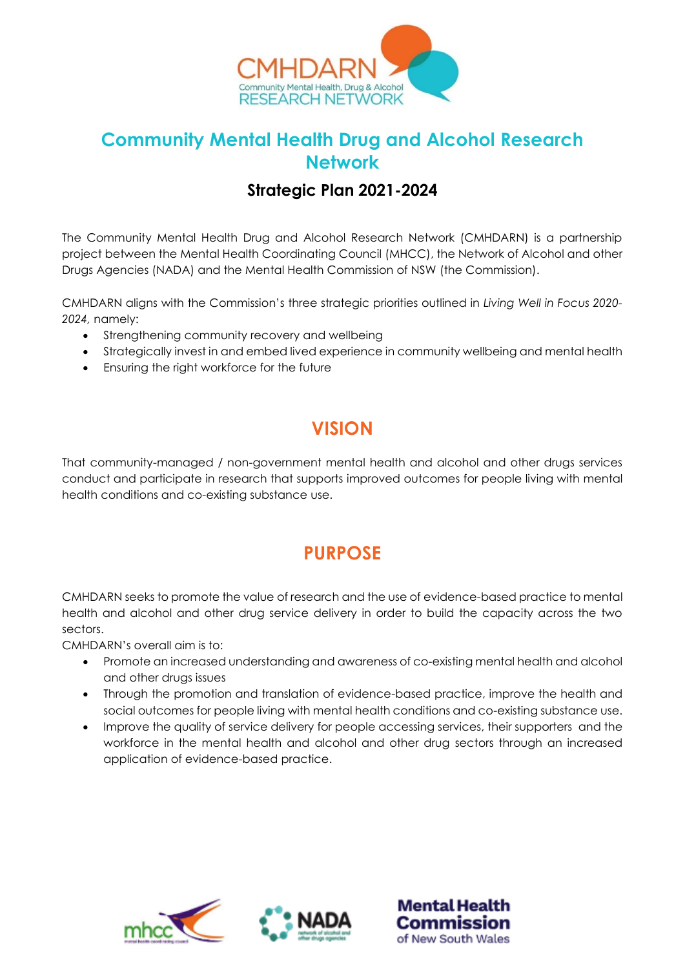

### **Community Mental Health Drug and Alcohol Research Network**

### **Strategic Plan 2021-2024**

The Community Mental Health Drug and Alcohol Research Network (CMHDARN) is a partnership project between the Mental Health Coordinating Council (MHCC), the Network of Alcohol and other Drugs Agencies (NADA) and the Mental Health Commission of NSW (the Commission).

CMHDARN aligns with the Commission's three strategic priorities outlined in *Living Well in Focus 2020- 2024,* namely:

- Strengthening community recovery and wellbeing
- Strategically invest in and embed lived experience in community wellbeing and mental health
- Ensuring the right workforce for the future

## **VISION**

That community-managed / non-government mental health and alcohol and other drugs services conduct and participate in research that supports improved outcomes for people living with mental health conditions and co-existing substance use.

### **PURPOSE**

CMHDARN seeks to promote the value of research and the use of evidence-based practice to mental health and alcohol and other drug service delivery in order to build the capacity across the two sectors.

CMHDARN's overall aim is to:

- Promote an increased understanding and awareness of co-existing mental health and alcohol and other drugs issues
- Through the promotion and translation of evidence-based practice, improve the health and social outcomes for people living with mental health conditions and co-existing substance use.
- Improve the quality of service delivery for people accessing services, their supporters and the workforce in the mental health and alcohol and other drug sectors through an increased application of evidence-based practice.





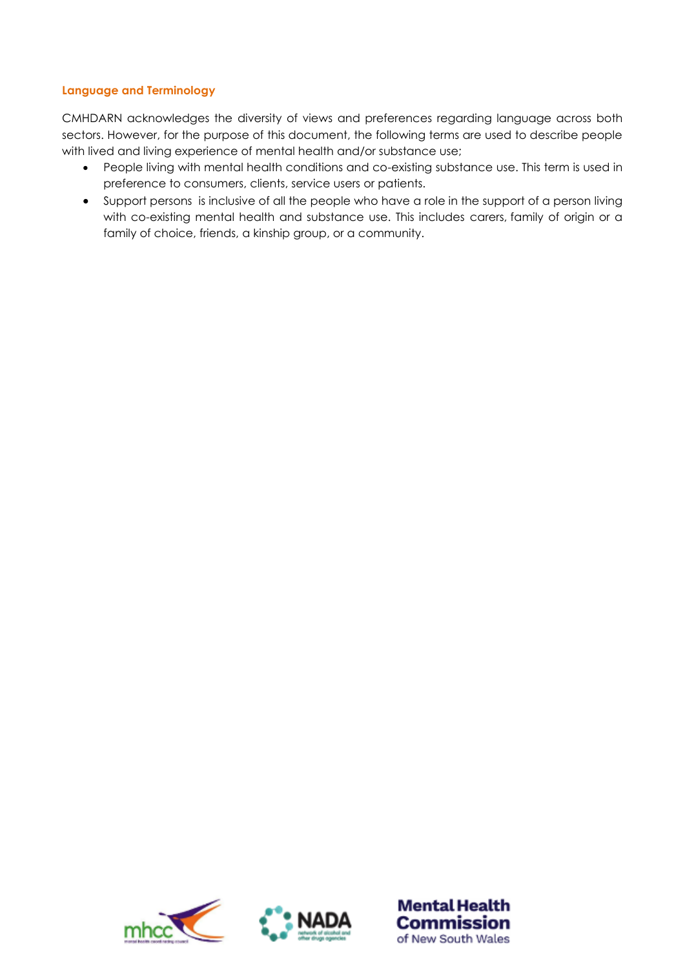#### **Language and Terminology**

CMHDARN acknowledges the diversity of views and preferences regarding language across both sectors. However, for the purpose of this document, the following terms are used to describe people with lived and living experience of mental health and/or substance use;

- People living with mental health conditions and co-existing substance use. This term is used in preference to consumers, clients, service users or patients.
- Support persons is inclusive of all the people who have a role in the support of a person living with co-existing mental health and substance use. This includes carers, family of origin or a family of choice, friends, a kinship group, or a community.